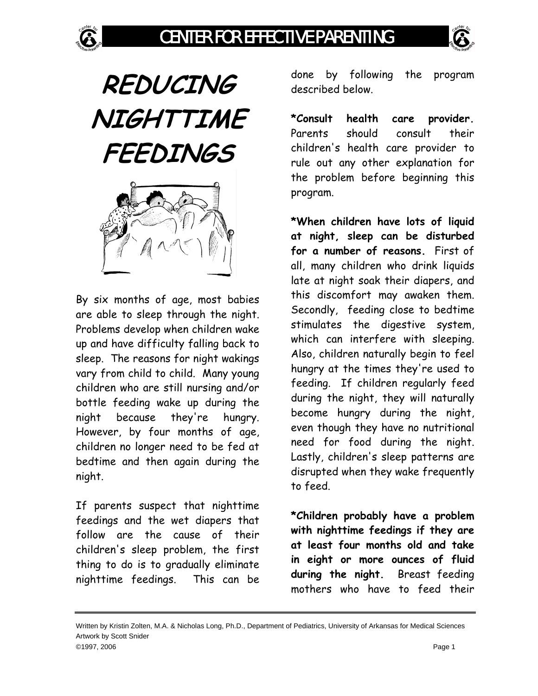

By six months of age, most babies are able to sleep through the night. Problems develop when children wake up and have difficulty falling back to sleep. The reasons for night wakings vary from child to child. Many young children who are still nursing and/or bottle feeding wake up during the night because they're hungry. However, by four months of age, children no longer need to be fed at bedtime and then again during the night.

If parents suspect that nighttime feedings and the wet diapers that follow are the cause of their children's sleep problem, the first thing to do is to gradually eliminate nighttime feedings. This can be done by following the program described below.

**\*Consult health care provider.**  Parents should consult their children's health care provider to rule out any other explanation for the problem before beginning this program.

**\*When children have lots of liquid at night, sleep can be disturbed for a number of reasons.** First of all, many children who drink liquids late at night soak their diapers, and this discomfort may awaken them. Secondly, feeding close to bedtime stimulates the digestive system, which can interfere with sleeping. Also, children naturally begin to feel hungry at the times they're used to feeding. If children regularly feed during the night, they will naturally become hungry during the night, even though they have no nutritional need for food during the night. Lastly, children's sleep patterns are disrupted when they wake frequently to feed.

**\*Children probably have a problem with nighttime feedings if they are at least four months old and take in eight or more ounces of fluid during the night.** Breast feeding mothers who have to feed their

Written by Kristin Zolten, M.A. & Nicholas Long, Ph.D., Department of Pediatrics, University of Arkansas for Medical Sciences Artwork by Scott Snider ©1997, 2006 Page 1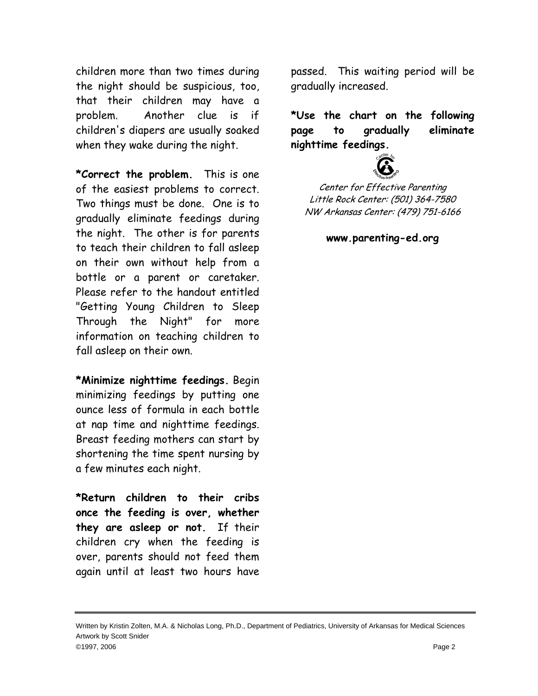children more than two times during the night should be suspicious, too, that their children may have a problem. Another clue is if children's diapers are usually soaked when they wake during the night.

**\*Correct the problem.** This is one of the easiest problems to correct. Two things must be done. One is to gradually eliminate feedings during the night. The other is for parents to teach their children to fall asleep on their own without help from a bottle or a parent or caretaker. Please refer to the handout entitled "Getting Young Children to Sleep Through the Night" for more information on teaching children to fall asleep on their own.

**\*Minimize nighttime feedings.** Begin minimizing feedings by putting one ounce less of formula in each bottle at nap time and nighttime feedings. Breast feeding mothers can start by shortening the time spent nursing by a few minutes each night.

**\*Return children to their cribs once the feeding is over, whether they are asleep or not.** If their children cry when the feeding is over, parents should not feed them again until at least two hours have passed. This waiting period will be gradually increased.

**\*Use the chart on the following page to gradually eliminate nighttime feedings.** 



Center for Effective Parenting Little Rock Center: (501) 364-7580 NW Arkansas Center: (479) 751-6166

**www.parenting-ed.org** 

Written by Kristin Zolten, M.A. & Nicholas Long, Ph.D., Department of Pediatrics, University of Arkansas for Medical Sciences Artwork by Scott Snider ©1997, 2006 Page 2